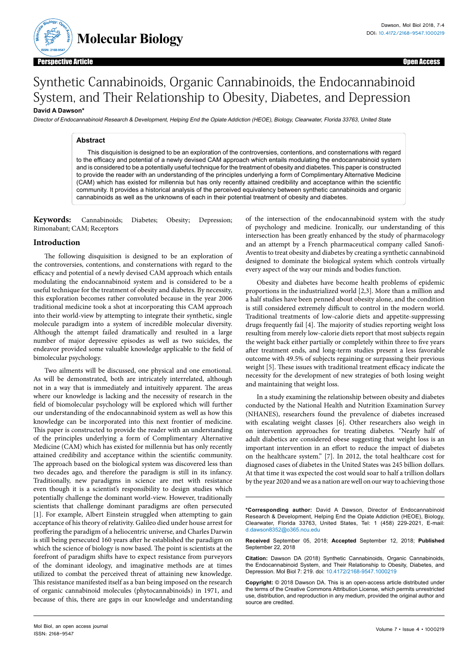

**M**<br> **B**iology: Obey<br> **A**<br> **B**iology: Obey

**ISSN: 2168-9547**

# Synthetic Cannabinoids, Organic Cannabinoids, the Endocannabinoid System, and Their Relationship to Obesity, Diabetes, and Depression

## **David A Dawson\***

Director of Endocannabinoid Research & Development, Helping End the Opiate Addiction (HEOE), Biology, Clearwater, Florida 33763, United State

#### **Abstract**

This disquisition is designed to be an exploration of the controversies, contentions, and consternations with regard to the efficacy and potential of a newly devised CAM approach which entails modulating the endocannabinoid system and is considered to be a potentially useful technique for the treatment of obesity and diabetes. This paper is constructed to provide the reader with an understanding of the principles underlying a form of Complimentary Alternative Medicine (CAM) which has existed for millennia but has only recently attained credibility and acceptance within the scientific community. It provides a historical analysis of the perceived equivalency between synthetic cannabinoids and organic cannabinoids as well as the unknowns of each in their potential treatment of obesity and diabetes.

**Keywords:** Cannabinoids; Diabetes; Obesity; Depression; Rimonabant; CAM; Receptors

### **Introduction**

The following disquisition is designed to be an exploration of the controversies, contentions, and consternations with regard to the efficacy and potential of a newly devised CAM approach which entails modulating the endocannabinoid system and is considered to be a useful technique for the treatment of obesity and diabetes. By necessity, this exploration becomes rather convoluted because in the year 2006 traditional medicine took a shot at incorporating this CAM approach into their world-view by attempting to integrate their synthetic, single molecule paradigm into a system of incredible molecular diversity. Although the attempt failed dramatically and resulted in a large number of major depressive episodes as well as two suicides, the endeavor provided some valuable knowledge applicable to the field of bimolecular psychology.

Two ailments will be discussed, one physical and one emotional. As will be demonstrated, both are intricately interrelated, although not in a way that is immediately and intuitively apparent. The areas where our knowledge is lacking and the necessity of research in the field of biomolecular psychology will be explored which will further our understanding of the endocannabinoid system as well as how this knowledge can be incorporated into this next frontier of medicine. This paper is constructed to provide the reader with an understanding of the principles underlying a form of Complimentary Alternative Medicine (CAM) which has existed for millennia but has only recently attained credibility and acceptance within the scientific community. The approach based on the biological system was discovered less than two decades ago, and therefore the paradigm is still in its infancy. Traditionally, new paradigms in science are met with resistance even though it is a scientist's responsibility to design studies which potentially challenge the dominant world-view. However, traditionally scientists that challenge dominant paradigms are often persecuted [1]. For example, Albert Einstein struggled when attempting to gain acceptance of his theory of relativity. Galileo died under house arrest for proffering the paradigm of a heliocentric universe, and Charles Darwin is still being persecuted 160 years after he established the paradigm on which the science of biology is now based. The point is scientists at the forefront of paradigm shifts have to expect resistance from purveyors of the dominant ideology, and imaginative methods are at times utilized to combat the perceived threat of attaining new knowledge. This resistance manifested itself as a ban being imposed on the research of organic cannabinoid molecules (phytocannabinoids) in 1971, and because of this, there are gaps in our knowledge and understanding

of the intersection of the endocannabinoid system with the study of psychology and medicine. Ironically, our understanding of this intersection has been greatly enhanced by the study of pharmacology and an attempt by a French pharmaceutical company called Sanofi-Aventis to treat obesity and diabetes by creating a synthetic cannabinoid designed to dominate the biological system which controls virtually every aspect of the way our minds and bodies function.

Obesity and diabetes have become health problems of epidemic proportions in the industrialized world [2,3]. More than a million and a half studies have been penned about obesity alone, and the condition is still considered extremely difficult to control in the modern world. Traditional treatments of low-calorie diets and appetite-suppressing drugs frequently fail [4]. The majority of studies reporting weight loss resulting from merely low-calorie diets report that most subjects regain the weight back either partially or completely within three to five years after treatment ends, and long-term studies present a less favorable outcome with 49.5% of subjects regaining or surpassing their previous weight [5]. These issues with traditional treatment efficacy indicate the necessity for the development of new strategies of both losing weight and maintaining that weight loss.

In a study examining the relationship between obesity and diabetes conducted by the National Health and Nutrition Examination Survey (NHANES), researchers found the prevalence of diabetes increased with escalating weight classes [6]. Other researchers also weigh in on intervention approaches for treating diabetes. "Nearly half of adult diabetics are considered obese suggesting that weight loss is an important intervention in an effort to reduce the impact of diabetes on the healthcare system." [7]. In 2012, the total healthcare cost for diagnosed cases of diabetes in the United States was 245 billion dollars. At that time it was expected the cost would soar to half a trillion dollars by the year 2020 and we as a nation are well on our way to achieving those

**\*Corresponding author:** David A Dawson, Director of Endocannabinoid Research & Development, Helping End the Opiate Addiction (HEOE), Biology, Clearwater, Florida 33763, United States, Tel: 1 (458) 229-2021, E-mail: d.dawson8352@o365.ncu.edu

**Received** September 05, 2018; **Accepted** September 12, 2018; **Published** September 22, 2018

**Citation:** Dawson DA (2018) Synthetic Cannabinoids, Organic Cannabinoids, the Endocannabinoid System, and Their Relationship to Obesity, Diabetes, and Depression. Mol Biol 7: 219. doi: 10.4172/2168-9547.1000219

**Copyright:** © 2018 Dawson DA. This is an open-access article distributed under the terms of the Creative Commons Attribution License, which permits unrestricted use, distribution, and reproduction in any medium, provided the original author and source are credited.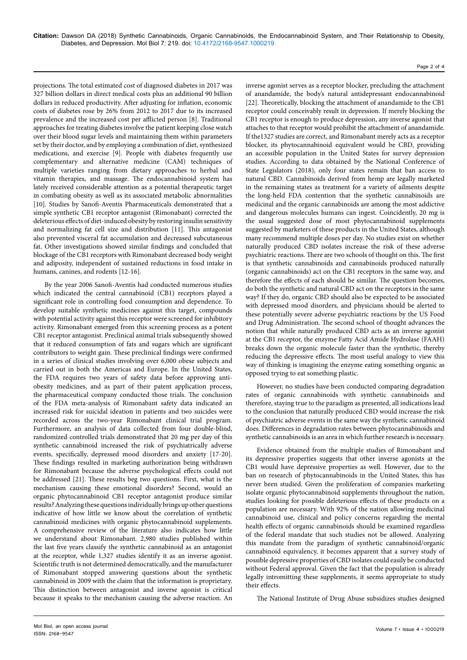Page 2 of 4

projections. The total estimated cost of diagnosed diabetes in 2017 was 327 billion dollars in direct medical costs plus an additional 90 billion dollars in reduced productivity. After adjusting for inflation, economic costs of diabetes rose by 26% from 2012 to 2017 due to its increased prevalence and the increased cost per afflicted person [8]. Traditional approaches for treating diabetes involve the patient keeping close watch over their blood sugar levels and maintaining them within parameters set by their doctor, and by employing a combination of diet, synthesized medications, and exercise [9]. People with diabetes frequently use complementary and alternative medicine (CAM) techniques of multiple varieties ranging from dietary approaches to herbal and vitamin therapies, and massage. The endocannabinoid system has lately received considerable attention as a potential therapeutic target in combating obesity as well as its associated metabolic abnormalities [10]. Studies by Sanofi-Aventis Pharmaceuticals demonstrated that a simple synthetic CB1 receptor antagonist (Rimonabant) corrected the deleterious effects of diet-induced obesity by restoring insulin sensitivity and normalizing fat cell size and distribution [11]. This antagonist also prevented visceral fat accumulation and decreased subcutaneous fat. Other investigations showed similar findings and concluded that blockage of the CB1 receptors with Rimonabant decreased body weight and adiposity, independent of sustained reductions in food intake in humans, canines, and rodents [12-16].

By the year 2006 Sanofi-Aventis had conducted numerous studies which indicated the central cannabinoid (CB1) receptors played a significant role in controlling food consumption and dependence. To develop suitable synthetic medicines against this target, compounds with potential activity against this receptor were screened for inhibitory activity. Rimonabant emerged from this screening process as a potent CB1 receptor antagonist. Preclinical animal trials subsequently showed that it reduced consumption of fats and sugars which are significant contributors to weight gain. These preclinical findings were confirmed in a series of clinical studies involving over 6,000 obese subjects and carried out in both the Americas and Europe. In the United States, the FDA requires two years of safety data before approving antiobesity medicines, and as part of their patent application process, the pharmaceutical company conducted those trials. The conclusion of the FDA meta-analysis of Rimonabant safety data indicated an increased risk for suicidal ideation in patients and two suicides were recorded across the two-year Rimonabant clinical trial program. Furthermore, an analysis of data collected from four double-blind, randomized controlled trials demonstrated that 20 mg per day of this synthetic cannabinoid increased the risk of psychiatrically adverse events, specifically, depressed mood disorders and anxiety [17-20]. These findings resulted in marketing authorization being withdrawn for Rimonabant because the adverse psychological effects could not be addressed [21]. These results beg two questions. First, what is the mechanism causing these emotional disorders? Second, would an organic phytocannabinoid CB1 receptor antagonist produce similar results? Analyzing these questions individually brings up other questions indicative of how little we know about the correlation of synthetic cannabinoid medicines with organic phytocannabinoid supplements. A comprehensive review of the literature also indicates how little we understand about Rimonabant. 2,980 studies published within the last five years classify the synthetic cannabinoid as an antagonist at the receptor, while 1,327 studies identify it as an inverse agonist. Scientific truth is not determined democratically, and the manufacturer of Rimonabant stopped answering questions about the synthetic cannabinoid in 2009 with the claim that the information is proprietary. This distinction between antagonist and inverse agonist is critical because it speaks to the mechanism causing the adverse reaction. An

inverse agonist serves as a receptor blocker, precluding the attachment of anandamide, the body's natural antidepressant endocannabinoid [22]. Theoretically, blocking the attachment of anandamide to the CB1 receptor could conceivably result in depression. If merely blocking the CB1 receptor is enough to produce depression, any inverse agonist that attaches to that receptor would prohibit the attachment of anandamide. If the1327 studies are correct, and Rimonabant merely acts as a receptor blocker, its phytocannabinoid equivalent would be CBD, providing an accessible population in the United States for survey depression studies. According to data obtained by the National Conference of State Legislators (2018), only four states remain that ban access to natural CBD. Cannabinoids derived from hemp are legally marketed in the remaining states as treatment for a variety of ailments despite the long-held FDA contention that the synthetic cannabinoids are medicinal and the organic cannabinoids are among the most addictive and dangerous molecules humans can ingest. Coincidently, 20 mg is the usual suggested dose of most phytocannabinoid supplements suggested by marketers of these products in the United States, although many recommend multiple doses per day. No studies exist on whether naturally produced CBD isolates increase the risk of these adverse psychiatric reactions. There are two schools of thought on this. The first is that synthetic cannabinoids and cannabinoids produced naturally (organic cannabinoids) act on the CB1 receptors in the same way, and therefore the effects of each should be similar. The question becomes, do both the synthetic and natural CBD act on the receptors in the same way? If they do, organic CBD should also be expected to be associated with depressed mood disorders, and physicians should be alerted to these potentially severe adverse psychiatric reactions by the US Food and Drug Administration. The second school of thought advances the notion that while naturally produced CBD acts as an inverse agonist at the CB1 receptor, the enzyme Fatty Acid Amide Hydrolase (FAAH) breaks down the organic molecule faster than the synthetic, thereby reducing the depressive effects. The most useful analogy to view this way of thinking is imagining the enzyme eating something organic as opposed trying to eat something plastic.

However, no studies have been conducted comparing degradation rates of organic cannabinoids with synthetic cannabinoids and therefore, staying true to the paradigm as presented, all indications lead to the conclusion that naturally produced CBD would increase the risk of psychiatric adverse events in the same way the synthetic cannabinoid does. Differences in degradation rates between phytocannabinoids and synthetic cannabinoids is an area in which further research is necessary.

Evidence obtained from the multiple studies of Rimonabant and its depressive properties suggests that other inverse agonists at the CB1 would have depressive properties as well. However, due to the ban on research of phytocannabinoids in the United States, this has never been studied. Given the proliferation of companies marketing isolate organic phytocannabinoid supplements throughout the nation, studies looking for possible deleterious effects of these products on a population are necessary. With 92% of the nation allowing medicinal cannabinoid use, clinical and policy concerns regarding the mental health effects of organic cannabinoids should be examined regardless of the federal mandate that such studies not be allowed. Analyzing this mandate from the paradigm of synthetic cannabinoid/organic cannabinoid equivalency, it becomes apparent that a survey study of possible depressive properties of CBD isolates could easily be conducted without Federal approval. Given the fact that the population is already legally intromitting these supplements, it seems appropriate to study their effects.

The National Institute of Drug Abuse subsidizes studies designed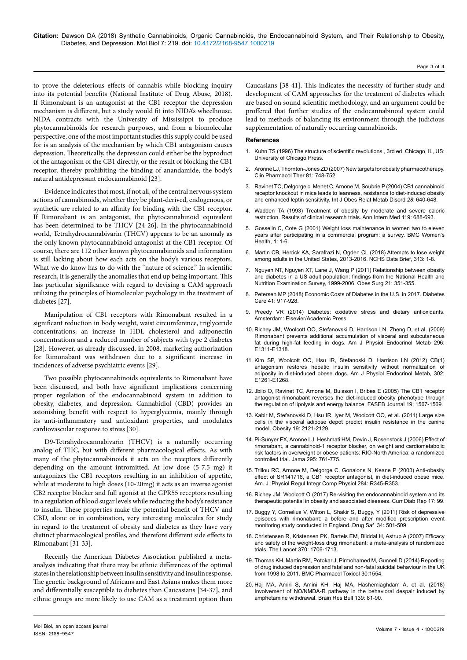to prove the deleterious effects of cannabis while blocking inquiry into its potential benefits (National Institute of Drug Abuse, 2018). If Rimonabant is an antagonist at the CB1 receptor the depression mechanism is different, but a study would fit into NIDA's wheelhouse. NIDA contracts with the University of Mississippi to produce phytocannabinoids for research purposes, and from a biomolecular perspective, one of the most important studies this supply could be used for is an analysis of the mechanism by which CB1 antagonism causes depression. Theoretically, the depression could either be the byproduct of the antagonism of the CB1 directly, or the result of blocking the CB1 receptor, thereby prohibiting the binding of anandamide, the body's natural antidepressant endocannabinoid [23].

Evidence indicates that most, if not all, of the central nervous system actions of cannabinoids, whether they be plant-derived, endogenous, or synthetic are related to an affinity for binding with the CB1 receptor. If Rimonabant is an antagonist, the phytocannabinoid equivalent has been determined to be THCV [24-26]. In the phytocannabinoid world, Tetrahydrocannabivarin (THCV) appears to be an anomaly as the only known phytocannabinoid antagonist at the CB1 receptor. Of course, there are 112 other known phytocannabinoids and information is still lacking about how each acts on the body's various receptors. What we do know has to do with the "nature of science." In scientific research, it is generally the anomalies that end up being important. This has particular significance with regard to devising a CAM approach utilizing the principles of biomolecular psychology in the treatment of diabetes [27].

Manipulation of CB1 receptors with Rimonabant resulted in a significant reduction in body weight, waist circumference, triglyceride concentrations, an increase in HDL cholesterol and adiponectin concentrations and a reduced number of subjects with type 2 diabetes [28]. However, as already discussed, in 2008, marketing authorization for Rimonabant was withdrawn due to a significant increase in incidences of adverse psychiatric events [29].

Two possible phytocannabinoids equivalents to Rimonabant have been discussed, and both have significant implications concerning proper regulation of the endocannabinoid system in addition to obesity, diabetes, and depression. Cannabidiol (CBD) provides an astonishing benefit with respect to hyperglycemia, mainly through its anti-inflammatory and antioxidant properties, and modulates cardiovascular response to stress [30].

D9-Tetrahydrocannabivarin (THCV) is a naturally occurring analog of THC, but with different pharmacological effects. As with many of the phytocannabinoids it acts on the receptors differently depending on the amount intromitted. At low dose (5-7.5 mg) it antagonizes the CB1 receptors resulting in an inhibition of appetite, while at moderate to high doses (10-20mg) it acts as an inverse agonist CB2 receptor blocker and full agonist at the GPR55 receptors resulting in a regulation of blood sugar levels while reducing the body's resistance to insulin. These properties make the potential benefit of THCV and CBD, alone or in combination, very interesting molecules for study in regard to the treatment of obesity and diabetes as they have very distinct pharmacological profiles, and therefore different side effects to Rimonabant [31-33].

Recently the American Diabetes Association published a metaanalysis indicating that there may be ethnic differences of the optimal states in the relationship between insulin sensitivity and insulin response. The genetic background of Africans and East Asians makes them more and differentially susceptible to diabetes than Caucasians [34-37], and ethnic groups are more likely to use CAM as a treatment option than

#### **References**

- Kuhn TS (1996) The structure of scientific revolutions., 3rd ed. Chicago, IL, US: [University of Chicago Press.](https://doi.org/10.7208/chicago/9780226458106.001.0001)
- [Aronne LJ, Thornton-Jones ZD \(2007\) New targets for obesity pharmacotherapy.](https://doi.org/10.1038/sj.clpt.6100163) [Clin Pharmacol Ther](https://doi.org/10.1038/sj.clpt.6100163) 81: 748-752.
- Ravinet TC, Delgorge c, Menet C, Arnone M, Soubrie P (2004) CB1 cannabinoid [receptor knockout in mice leads to leanness, resistance to diet-induced obesity](https://doi.org/10.1038/sj.ijo.0802583)  [and enhanced leptin sensitivity.](https://doi.org/10.1038/sj.ijo.0802583) Int J Obes Relat Metab Disord *28*: 640-648.
- 4. Wadden TA (1993) Treatment of obesity by moderate and severe caloric restriction. Results of clinical research trials. Ann Intern Med 119: 688-693.
- 5. Gosselin C, Cote G (2001) Weight loss maintenance in women two to eleven years after participating in a commercial program: a survey. BMC Women's Health, 1: 1-6.
- 6. [Martin CB, Herrick KA, Sarafrazi N, Ogden CL \(2018\) Attempts to lose weight](https://www.cdc.gov/nchs/data/databriefs/db313_table.pdf#1)  [among adults in the United States, 2013-2016. NCHS Data Brief, 313: 1-8.](https://www.cdc.gov/nchs/data/databriefs/db313_table.pdf#1)
- 7. [Nguyen NT, Nguyen XT, Lane J, Wang P \(2011\) Relationship between obesity](https://doi.org/10.1007/s11695-010-0335-4)  [and diabetes in a US adult population: findings from the National Health and](https://doi.org/10.1007/s11695-010-0335-4)  [Nutrition Examination Survey, 1999-2006. Obes Surg 21: 351-355.](https://doi.org/10.1007/s11695-010-0335-4)
- 8. Petersen MP (2018) [Economic Costs of Diabetes in the U.S. in 2017. Diabetes](https://doi.org/10.2337/dci18-0007)  [Care 41: 917-928.](https://doi.org/10.2337/dci18-0007)
- 9. Preedy VR (2014) Diabetes: oxidative stress and dietary antioxidants. Amsterdam: Elsevier/Academic Press.
- 10. [Richey JM, Woolcott OO, Stefanovski D, Harrison LN, Zheng D, et al. \(2009\)](file:///C:\Users\neha-r\Desktop\10.1152\ajpendo.90972.2008)  [Rimonabant prevents additional accumulation of visceral and subcutaneous](file:///C:\Users\neha-r\Desktop\10.1152\ajpendo.90972.2008)  [fat during high-fat feeding in dogs. Am J Physiol Endocrinol Metab 296:](file:///C:\Users\neha-r\Desktop\10.1152\ajpendo.90972.2008)  [E1311-E1318.](file:///C:\Users\neha-r\Desktop\10.1152\ajpendo.90972.2008)
- 11. [Kim SP, Woolcott OO, Hsu IR, Stefanoski D, Harrison LN \(2012\) CB\(1\)](https://doi.org/10.1152/ajpendo.00496.2011)  [antagonism restores hepatic insulin sensitivity without normalization of](https://doi.org/10.1152/ajpendo.00496.2011)  [adiposity in diet-induced obese dogs.](https://doi.org/10.1152/ajpendo.00496.2011) Am J Physiol Endocrinol Metab, 302: [E1261-E1268.](https://doi.org/10.1152/ajpendo.00496.2011)
- 12. [Jbilo O, Ravinet TC, Arnone M, Buisson I, Bribes E \(2005\) The CB1 receptor](https://doi.org/10.1096/fj.04-3177fje)  [antagonist rimonabant reverses the diet-induced obesity phenotype through](https://doi.org/10.1096/fj.04-3177fje)  [the regulation of lipolysis and energy balance. FASEB Journal](https://doi.org/10.1096/fj.04-3177fje) 19: 1567-1569.
- 13. [Kabir M, Stefanovski D, Hsu IR, Iyer M, Woolcott OO, et al. \(2011\) Large size](https://doi.org/10.1038/oby.2011.254)  [cells in the visceral adipose depot predict insulin resistance in the canine](https://doi.org/10.1038/oby.2011.254)  [model. Obesity 19: 2121-2129.](https://doi.org/10.1038/oby.2011.254)
- 14. [Pi-Sunyer FX, Aronne LJ, Heshmati HM, Devin J, Rosenstock J \(2006\) Effect of](https://doi.org/10.1001/jama.295.7.761)  [rimonabant, a cannabinoid-1 receptor blocker, on weight and cardiometabolic](https://doi.org/10.1001/jama.295.7.761)  [risk factors in overweight or obese patients: RIO-North America: a randomized](https://doi.org/10.1001/jama.295.7.761)  [controlled trial. Jama 295: 761-775.](https://doi.org/10.1001/jama.295.7.761)
- 15. Trillou RC, Arnone M, Delgorge C, Gonalons N, Keane P (2003) Anti-obesity effect of SR141716, a CB1 receptor antagonist, in diet-induced obese mice. Am. J. Physiol Regul Integr Comp Physiol 284: R345-R353.
- 16. Richey JM, Woolcott O (2017) Re-visiting the endocannabinoid system and its therapeutic potential in obesity and associated diseases. Curr Diab Rep 17: 99.
- 17. [Buggy Y, Cornelius V, Wilton L, Shakir S, Buggy, Y \(2011\) Risk of depressive](https://doi.org/10.2165/11588510-000000000-00000)  [episodes with rimonabant: a before and after modified prescription event](https://doi.org/10.2165/11588510-000000000-00000)  [monitoring study conducted in England. Drug Saf 34: 501-509.](https://doi.org/10.2165/11588510-000000000-00000)
- 18. [Christensen R, Kristensen PK, Bartels EM, Bliddal H, Astrup A \(2007\) Efficacy](https://doi.org/10.1016/S0140-6736(07)61721-8)  [and safety of the weight-loss drug rimonabant: a meta-analysis of randomized](https://doi.org/10.1016/S0140-6736(07)61721-8)  [trials. The Lancet 370: 1706-1713.](https://doi.org/10.1016/S0140-6736(07)61721-8)
- 19. [Thomas KH, Martin RM, Potokar J, Pirmohamed M, Gunnell D \(2014\) Reporting](https://doi.org/10.1186/2050-6511-15-54)  [of drug induced depression and fatal and non-fatal suicidal behaviour in the UK](https://doi.org/10.1186/2050-6511-15-54)  [from 1998 to 2011. BMC Pharmacol Toxicol 30:1554](https://doi.org/10.1186/2050-6511-15-54).
- 20. Haj MA, Amiri S, Amini KH, Haj MA, Hashemiaghdam A, et al. (2018) Involvement of NO/NMDA-R pathway in the behavioral despair induced by amphetamine withdrawal. Brain Res Bull 139: 81-90.